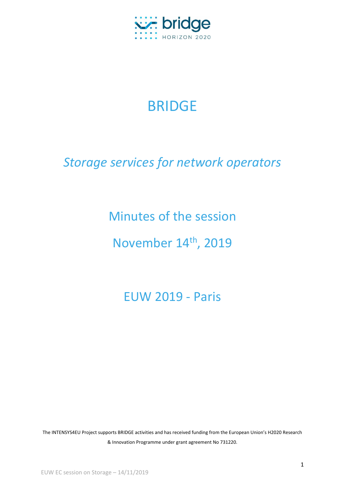

# BRIDGE

# *Storage services for network operators*

Minutes of the session

November 14<sup>th</sup>, 2019

EUW 2019 - Paris

The INTENSYS4EU Project supports BRIDGE activities and has received funding from the European Union's H2020 Research & Innovation Programme under grant agreement No 731220.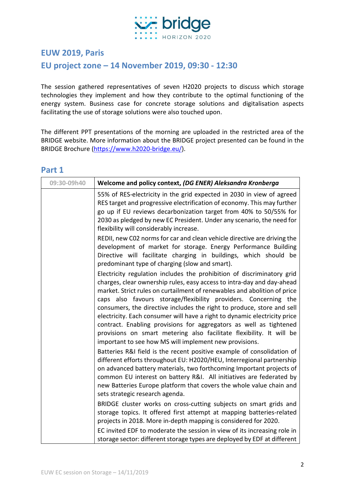

#### **EUW 2019, Paris**

## **EU project zone – 14 November 2019, 09:30 - 12:30**

The session gathered representatives of seven H2020 projects to discuss which storage technologies they implement and how they contribute to the optimal functioning of the energy system. Business case for concrete storage solutions and digitalisation aspects facilitating the use of storage solutions were also touched upon.

The different PPT presentations of the morning are uploaded in the restricted area of the BRIDGE website. More information about the BRIDGE project presented can be found in the BRIDGE Brochure [\(https://www.h2020-bridge.eu/\)](https://www.h2020-bridge.eu/).

#### **Part 1**

| 09:30-09h40 | Welcome and policy context, (DG ENER) Aleksandra Kronberga                                                                                                                                                                                                                                                                                                                                                                                                                                                                                                                                                                                                     |
|-------------|----------------------------------------------------------------------------------------------------------------------------------------------------------------------------------------------------------------------------------------------------------------------------------------------------------------------------------------------------------------------------------------------------------------------------------------------------------------------------------------------------------------------------------------------------------------------------------------------------------------------------------------------------------------|
|             | 55% of RES-electricity in the grid expected in 2030 in view of agreed<br>RES target and progressive electrification of economy. This may further<br>go up if EU reviews decarbonization target from 40% to 50/55% for<br>2030 as pledged by new EC President. Under any scenario, the need for<br>flexibility will considerably increase.                                                                                                                                                                                                                                                                                                                      |
|             | REDII, new C02 norms for car and clean vehicle directive are driving the<br>development of market for storage. Energy Performance Building<br>Directive will facilitate charging in buildings, which should be<br>predominant type of charging (slow and smart).                                                                                                                                                                                                                                                                                                                                                                                               |
|             | Electricity regulation includes the prohibition of discriminatory grid<br>charges, clear ownership rules, easy access to intra-day and day-ahead<br>market. Strict rules on curtailment of renewables and abolition of price<br>caps also favours storage/flexibility providers. Concerning the<br>consumers, the directive includes the right to produce, store and sell<br>electricity. Each consumer will have a right to dynamic electricity price<br>contract. Enabling provisions for aggregators as well as tightened<br>provisions on smart metering also facilitate flexibility. It will be<br>important to see how MS will implement new provisions. |
|             | Batteries R&I field is the recent positive example of consolidation of<br>different efforts throughout EU: H2020/HEU, Interregional partnership<br>on advanced battery materials, two forthcoming Important projects of<br>common EU interest on battery R&I. All initiatives are federated by<br>new Batteries Europe platform that covers the whole value chain and<br>sets strategic research agenda.                                                                                                                                                                                                                                                       |
|             | BRIDGE cluster works on cross-cutting subjects on smart grids and<br>storage topics. It offered first attempt at mapping batteries-related<br>projects in 2018. More in-depth mapping is considered for 2020.<br>EC invited EDF to moderate the session in view of its increasing role in<br>storage sector: different storage types are deployed by EDF at different                                                                                                                                                                                                                                                                                          |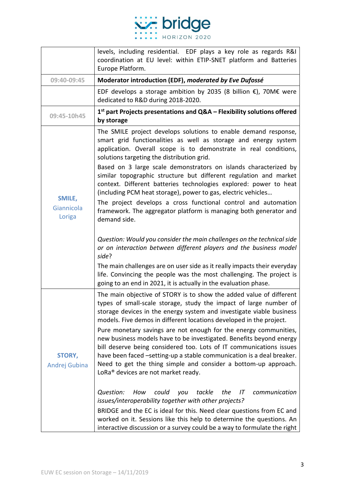

|                                | levels, including residential. EDF plays a key role as regards R&I<br>coordination at EU level: within ETIP-SNET platform and Batteries<br>Europe Platform.                                                                                                                                                                                                                                                                                                                                                                                                                                                                                                                                                                                                                                                                                                                                                                                                                                                                                                                |
|--------------------------------|----------------------------------------------------------------------------------------------------------------------------------------------------------------------------------------------------------------------------------------------------------------------------------------------------------------------------------------------------------------------------------------------------------------------------------------------------------------------------------------------------------------------------------------------------------------------------------------------------------------------------------------------------------------------------------------------------------------------------------------------------------------------------------------------------------------------------------------------------------------------------------------------------------------------------------------------------------------------------------------------------------------------------------------------------------------------------|
| 09:40-09:45                    | Moderator introduction (EDF), moderated by Eve Dufossé                                                                                                                                                                                                                                                                                                                                                                                                                                                                                                                                                                                                                                                                                                                                                                                                                                                                                                                                                                                                                     |
|                                | EDF develops a storage ambition by 2035 (8 billion $\epsilon$ ), 70M $\epsilon$ were<br>dedicated to R&D during 2018-2020.                                                                                                                                                                                                                                                                                                                                                                                                                                                                                                                                                                                                                                                                                                                                                                                                                                                                                                                                                 |
| 09:45-10h45                    | $1st$ part Projects presentations and Q&A – Flexibility solutions offered<br>by storage                                                                                                                                                                                                                                                                                                                                                                                                                                                                                                                                                                                                                                                                                                                                                                                                                                                                                                                                                                                    |
|                                | The SMILE project develops solutions to enable demand response,<br>smart grid functionalities as well as storage and energy system<br>application. Overall scope is to demonstrate in real conditions,<br>solutions targeting the distribution grid.                                                                                                                                                                                                                                                                                                                                                                                                                                                                                                                                                                                                                                                                                                                                                                                                                       |
| SMILE,<br>Giannicola<br>Loriga | Based on 3 large scale demonstrators on islands characterized by<br>similar topographic structure but different regulation and market<br>context. Different batteries technologies explored: power to heat<br>(including PCM heat storage), power to gas, electric vehicles<br>The project develops a cross functional control and automation<br>framework. The aggregator platform is managing both generator and<br>demand side.                                                                                                                                                                                                                                                                                                                                                                                                                                                                                                                                                                                                                                         |
|                                | Question: Would you consider the main challenges on the technical side<br>or on interaction between different players and the business model<br>side?<br>The main challenges are on user side as it really impacts their everyday<br>life. Convincing the people was the most challenging. The project is<br>going to an end in 2021, it is actually in the evaluation phase.                                                                                                                                                                                                                                                                                                                                                                                                                                                                                                                                                                                                                                                                                              |
| <b>STORY,</b><br>Andrej Gubina | The main objective of STORY is to show the added value of different<br>types of small-scale storage, study the impact of large number of<br>storage devices in the energy system and investigate viable business<br>models. Five demos in different locations developed in the project.<br>Pure monetary savings are not enough for the energy communities,<br>new business models have to be investigated. Benefits beyond energy<br>bill deserve being considered too. Lots of IT communications issues<br>have been faced -setting-up a stable communication is a deal breaker.<br>Need to get the thing simple and consider a bottom-up approach.<br>LoRa <sup>®</sup> devices are not market ready.<br>Question:<br>could<br>communication<br>How<br>tackle<br>the<br>IΤ<br>you<br>issues/interoperability together with other projects?<br>BRIDGE and the EC is ideal for this. Need clear questions from EC and<br>worked on it. Sessions like this help to determine the questions. An<br>interactive discussion or a survey could be a way to formulate the right |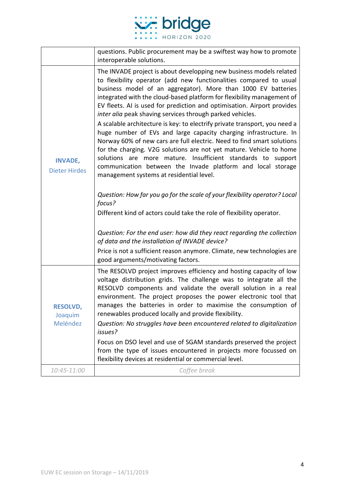

|                                        | questions. Public procurement may be a swiftest way how to promote<br>interoperable solutions.                                                                                                                                                                                                                                                                                                                                                                                                                                                                                                                                                                                                                                                                                                                                                                                                                                                                                                                                                                                                                                                                                                                                                                                          |
|----------------------------------------|-----------------------------------------------------------------------------------------------------------------------------------------------------------------------------------------------------------------------------------------------------------------------------------------------------------------------------------------------------------------------------------------------------------------------------------------------------------------------------------------------------------------------------------------------------------------------------------------------------------------------------------------------------------------------------------------------------------------------------------------------------------------------------------------------------------------------------------------------------------------------------------------------------------------------------------------------------------------------------------------------------------------------------------------------------------------------------------------------------------------------------------------------------------------------------------------------------------------------------------------------------------------------------------------|
| <b>INVADE,</b><br><b>Dieter Hirdes</b> | The INVADE project is about developping new business models related<br>to flexibility operator (add new functionalities compared to usual<br>business model of an aggregator). More than 1000 EV batteries<br>integrated with the cloud-based platform for flexibility management of<br>EV fleets. AI is used for prediction and optimisation. Airport provides<br>inter alia peak shaving services through parked vehicles.<br>A scalable architecture is key: to electrify private transport, you need a<br>huge number of EVs and large capacity charging infrastructure. In<br>Norway 60% of new cars are full electric. Need to find smart solutions<br>for the charging. V2G solutions are not yet mature. Vehicle to home<br>more mature. Insufficient standards to support<br>solutions are<br>communication between the Invade platform and local storage<br>management systems at residential level.<br>Question: How far you go for the scale of your flexibility operator? Local<br>focus?<br>Different kind of actors could take the role of flexibility operator.<br>Question: For the end user: how did they react regarding the collection<br>of data and the installation of INVADE device?<br>Price is not a sufficient reason anymore. Climate, new technologies are |
|                                        | good arguments/motivating factors.                                                                                                                                                                                                                                                                                                                                                                                                                                                                                                                                                                                                                                                                                                                                                                                                                                                                                                                                                                                                                                                                                                                                                                                                                                                      |
| <b>RESOLVD,</b><br>Joaquim<br>Meléndez | The RESOLVD project improves efficiency and hosting capacity of low<br>voltage distribution grids. The challenge was to integrate all the<br>RESOLVD components and validate the overall solution in a real<br>environment. The project proposes the power electronic tool that<br>manages the batteries in order to maximise the consumption of<br>renewables produced locally and provide flexibility.<br>Question: No struggles have been encountered related to digitalization<br>issues?<br>Focus on DSO level and use of SGAM standards preserved the project<br>from the type of issues encountered in projects more focussed on<br>flexibility devices at residential or commercial level.                                                                                                                                                                                                                                                                                                                                                                                                                                                                                                                                                                                      |
| 10:45-11:00                            | Coffee break                                                                                                                                                                                                                                                                                                                                                                                                                                                                                                                                                                                                                                                                                                                                                                                                                                                                                                                                                                                                                                                                                                                                                                                                                                                                            |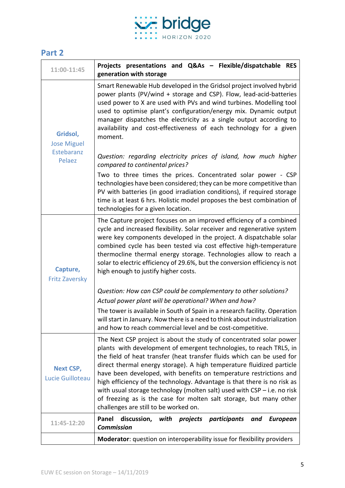

## **Part 2**

| 11:00-11:45                                            | Projects presentations and Q&As - Flexible/dispatchable RES<br>generation with storage                                                                                                                                                                                                                                                                                                                                                                                                                                                                                                                                                       |
|--------------------------------------------------------|----------------------------------------------------------------------------------------------------------------------------------------------------------------------------------------------------------------------------------------------------------------------------------------------------------------------------------------------------------------------------------------------------------------------------------------------------------------------------------------------------------------------------------------------------------------------------------------------------------------------------------------------|
| Gridsol,<br><b>Jose Miguel</b><br>Estebaranz<br>Pelaez | Smart Renewable Hub developed in the Gridsol project involved hybrid<br>power plants (PV/wind + storage and CSP). Flow, lead-acid-batteries<br>used power to X are used with PVs and wind turbines. Modelling tool<br>used to optimise plant's configuration/energy mix. Dynamic output<br>manager dispatches the electricity as a single output according to<br>availability and cost-effectiveness of each technology for a given<br>moment.                                                                                                                                                                                               |
|                                                        | Question: regarding electricity prices of island, how much higher<br>compared to continental prices?                                                                                                                                                                                                                                                                                                                                                                                                                                                                                                                                         |
|                                                        | Two to three times the prices. Concentrated solar power - CSP<br>technologies have been considered; they can be more competitive than<br>PV with batteries (in good irradiation conditions), if required storage<br>time is at least 6 hrs. Holistic model proposes the best combination of<br>technologies for a given location.                                                                                                                                                                                                                                                                                                            |
| Capture,<br><b>Fritz Zaversky</b>                      | The Capture project focuses on an improved efficiency of a combined<br>cycle and increased flexibility. Solar receiver and regenerative system<br>were key components developed in the project. A dispatchable solar<br>combined cycle has been tested via cost effective high-temperature<br>thermocline thermal energy storage. Technologies allow to reach a<br>solar to electric efficiency of 29.6%, but the conversion efficiency is not<br>high enough to justify higher costs.                                                                                                                                                       |
|                                                        | Question: How can CSP could be complementary to other solutions?                                                                                                                                                                                                                                                                                                                                                                                                                                                                                                                                                                             |
|                                                        | Actual power plant will be operational? When and how?<br>The tower is available in South of Spain in a research facility. Operation<br>will start in January. Now there is a need to think about industrialization<br>and how to reach commercial level and be cost-competitive.                                                                                                                                                                                                                                                                                                                                                             |
| <b>Next CSP,</b><br>Lucie Guilloteau                   | The Next CSP project is about the study of concentrated solar power<br>plants with development of emergent technologies, to reach TRL5, in<br>the field of heat transfer (heat transfer fluids which can be used for<br>direct thermal energy storage). A high temperature fluidized particle<br>have been developed, with benefits on temperature restrictions and<br>high efficiency of the technology. Advantage is that there is no risk as<br>with usual storage technology (molten salt) used with $CSP - i.e.$ no risk<br>of freezing as is the case for molten salt storage, but many other<br>challenges are still to be worked on. |
| 11:45-12:20                                            | Panel<br>projects participants<br>discussion,<br>with<br>and<br><b>European</b><br><b>Commission</b>                                                                                                                                                                                                                                                                                                                                                                                                                                                                                                                                         |
|                                                        | Moderator: question on interoperability issue for flexibility providers                                                                                                                                                                                                                                                                                                                                                                                                                                                                                                                                                                      |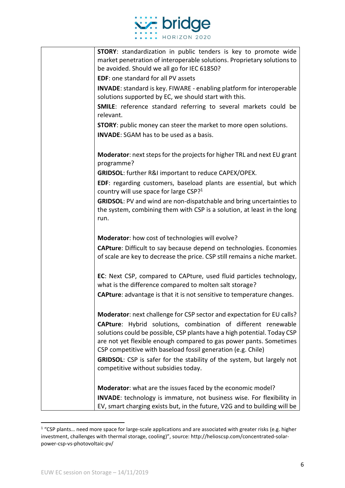

| <b>STORY:</b> standardization in public tenders is key to promote wide<br>market penetration of interoperable solutions. Proprietary solutions to<br>be avoided. Should we all go for IEC 61850?                                                                                                                                                                                                                                                  |
|---------------------------------------------------------------------------------------------------------------------------------------------------------------------------------------------------------------------------------------------------------------------------------------------------------------------------------------------------------------------------------------------------------------------------------------------------|
| <b>EDF:</b> one standard for all PV assets                                                                                                                                                                                                                                                                                                                                                                                                        |
| <b>INVADE:</b> standard is key. FIWARE - enabling platform for interoperable<br>solutions supported by EC, we should start with this.                                                                                                                                                                                                                                                                                                             |
| <b>SMILE:</b> reference standard referring to several markets could be<br>relevant.                                                                                                                                                                                                                                                                                                                                                               |
| <b>STORY:</b> public money can steer the market to more open solutions.                                                                                                                                                                                                                                                                                                                                                                           |
| <b>INVADE:</b> SGAM has to be used as a basis.                                                                                                                                                                                                                                                                                                                                                                                                    |
| <b>Moderator:</b> next steps for the projects for higher TRL and next EU grant<br>programme?                                                                                                                                                                                                                                                                                                                                                      |
| GRIDSOL: further R&I important to reduce CAPEX/OPEX.                                                                                                                                                                                                                                                                                                                                                                                              |
| <b>EDF</b> : regarding customers, baseload plants are essential, but which<br>country will use space for large CSP? <sup>1</sup>                                                                                                                                                                                                                                                                                                                  |
| <b>GRIDSOL:</b> PV and wind are non-dispatchable and bring uncertainties to<br>the system, combining them with CSP is a solution, at least in the long<br>run.                                                                                                                                                                                                                                                                                    |
| Moderator: how cost of technologies will evolve?                                                                                                                                                                                                                                                                                                                                                                                                  |
| <b>CAPture:</b> Difficult to say because depend on technologies. Economies<br>of scale are key to decrease the price. CSP still remains a niche market.                                                                                                                                                                                                                                                                                           |
| EC: Next CSP, compared to CAPture, used fluid particles technology,<br>what is the difference compared to molten salt storage?<br><b>CAPture:</b> advantage is that it is not sensitive to temperature changes.                                                                                                                                                                                                                                   |
|                                                                                                                                                                                                                                                                                                                                                                                                                                                   |
| Moderator: next challenge for CSP sector and expectation for EU calls?<br><b>CAPture:</b> Hybrid solutions, combination of different renewable<br>solutions could be possible, CSP plants have a high potential. Today CSP<br>are not yet flexible enough compared to gas power pants. Sometimes<br>CSP competitive with baseload fossil generation (e.g. Chile)<br><b>GRIDSOL:</b> CSP is safer for the stability of the system, but largely not |
| competitive without subsidies today.                                                                                                                                                                                                                                                                                                                                                                                                              |
| Moderator: what are the issues faced by the economic model?                                                                                                                                                                                                                                                                                                                                                                                       |
| <b>INVADE:</b> technology is immature, not business wise. For flexibility in<br>EV, smart charging exists but, in the future, V2G and to building will be                                                                                                                                                                                                                                                                                         |

<sup>&</sup>lt;sup>1</sup> "CSP plants... need more space for large-scale applications and are associated with greater risks (e.g. higher investment, challenges with thermal storage, cooling)", source: http://helioscsp.com/concentrated-solarpower-csp-vs-photovoltaic-pv/